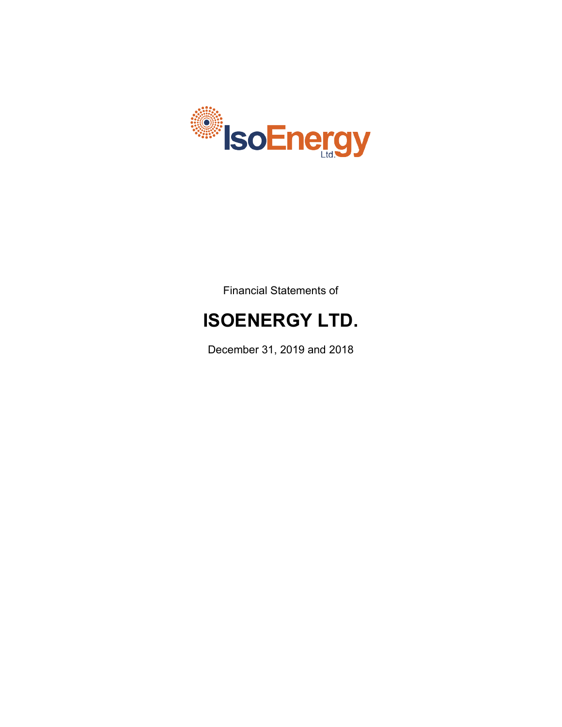

Financial Statements of

# **ISOENERGY LTD.**

December 31, 2019 and 2018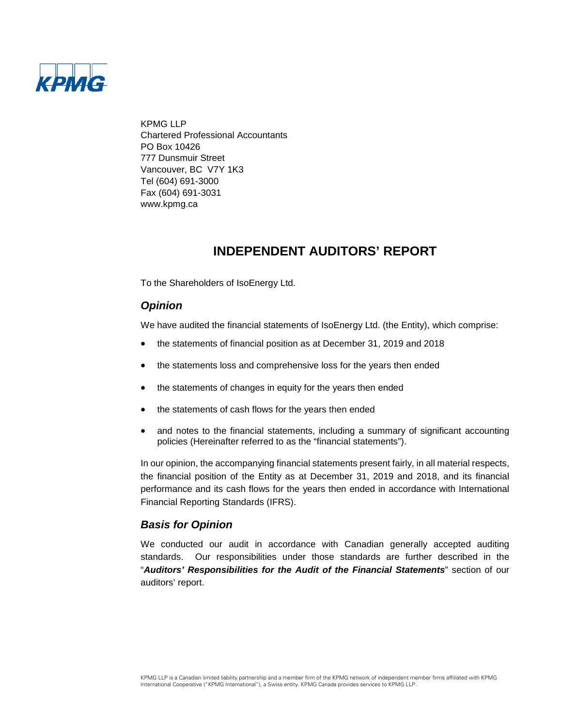

KPMG LLP Chartered Professional Accountants PO Box 10426 777 Dunsmuir Street Vancouver, BC V7Y 1K3 Tel (604) 691-3000 Fax (604) 691-3031 www.kpmg.ca

# **INDEPENDENT AUDITORS' REPORT**

To the Shareholders of IsoEnergy Ltd.

## *Opinion*

We have audited the financial statements of IsoEnergy Ltd. (the Entity), which comprise:

- the statements of financial position as at December 31, 2019 and 2018
- the statements loss and comprehensive loss for the years then ended
- the statements of changes in equity for the years then ended
- the statements of cash flows for the years then ended
- and notes to the financial statements, including a summary of significant accounting policies (Hereinafter referred to as the "financial statements").

In our opinion, the accompanying financial statements present fairly, in all material respects, the financial position of the Entity as at December 31, 2019 and 2018, and its financial performance and its cash flows for the years then ended in accordance with International Financial Reporting Standards (IFRS).

## *Basis for Opinion*

We conducted our audit in accordance with Canadian generally accepted auditing standards. Our responsibilities under those standards are further described in the "*Auditors' Responsibilities for the Audit of the Financial Statements*" section of our auditors' report.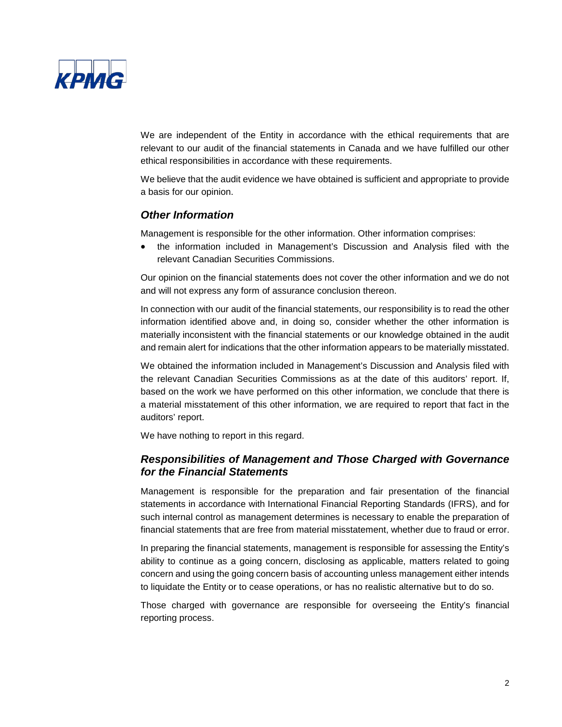

We are independent of the Entity in accordance with the ethical requirements that are relevant to our audit of the financial statements in Canada and we have fulfilled our other ethical responsibilities in accordance with these requirements.

We believe that the audit evidence we have obtained is sufficient and appropriate to provide a basis for our opinion.

## *Other Information*

Management is responsible for the other information. Other information comprises:

• the information included in Management's Discussion and Analysis filed with the relevant Canadian Securities Commissions.

Our opinion on the financial statements does not cover the other information and we do not and will not express any form of assurance conclusion thereon.

In connection with our audit of the financial statements, our responsibility is to read the other information identified above and, in doing so, consider whether the other information is materially inconsistent with the financial statements or our knowledge obtained in the audit and remain alert for indications that the other information appears to be materially misstated.

We obtained the information included in Management's Discussion and Analysis filed with the relevant Canadian Securities Commissions as at the date of this auditors' report. If, based on the work we have performed on this other information, we conclude that there is a material misstatement of this other information, we are required to report that fact in the auditors' report.

We have nothing to report in this regard.

## *Responsibilities of Management and Those Charged with Governance for the Financial Statements*

Management is responsible for the preparation and fair presentation of the financial statements in accordance with International Financial Reporting Standards (IFRS), and for such internal control as management determines is necessary to enable the preparation of financial statements that are free from material misstatement, whether due to fraud or error.

In preparing the financial statements, management is responsible for assessing the Entity's ability to continue as a going concern, disclosing as applicable, matters related to going concern and using the going concern basis of accounting unless management either intends to liquidate the Entity or to cease operations, or has no realistic alternative but to do so.

Those charged with governance are responsible for overseeing the Entity's financial reporting process.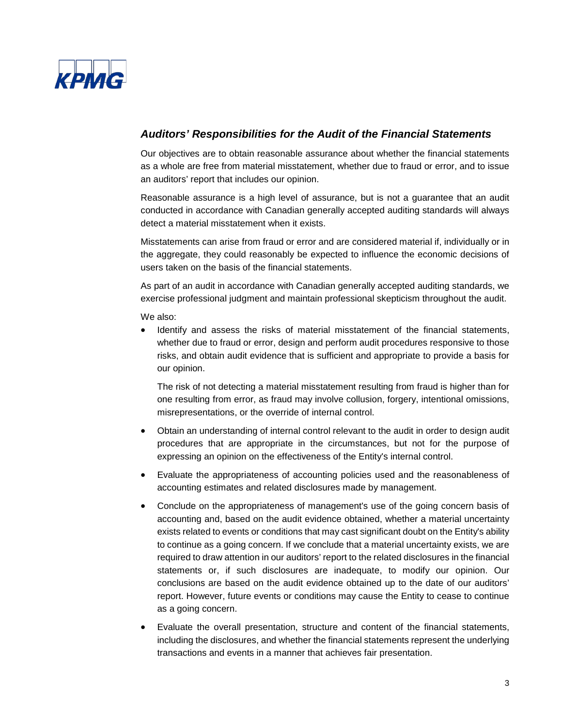

## *Auditors' Responsibilities for the Audit of the Financial Statements*

Our objectives are to obtain reasonable assurance about whether the financial statements as a whole are free from material misstatement, whether due to fraud or error, and to issue an auditors' report that includes our opinion.

Reasonable assurance is a high level of assurance, but is not a guarantee that an audit conducted in accordance with Canadian generally accepted auditing standards will always detect a material misstatement when it exists.

Misstatements can arise from fraud or error and are considered material if, individually or in the aggregate, they could reasonably be expected to influence the economic decisions of users taken on the basis of the financial statements.

As part of an audit in accordance with Canadian generally accepted auditing standards, we exercise professional judgment and maintain professional skepticism throughout the audit.

We also:

• Identify and assess the risks of material misstatement of the financial statements, whether due to fraud or error, design and perform audit procedures responsive to those risks, and obtain audit evidence that is sufficient and appropriate to provide a basis for our opinion.

The risk of not detecting a material misstatement resulting from fraud is higher than for one resulting from error, as fraud may involve collusion, forgery, intentional omissions, misrepresentations, or the override of internal control.

- Obtain an understanding of internal control relevant to the audit in order to design audit procedures that are appropriate in the circumstances, but not for the purpose of expressing an opinion on the effectiveness of the Entity's internal control.
- Evaluate the appropriateness of accounting policies used and the reasonableness of accounting estimates and related disclosures made by management.
- Conclude on the appropriateness of management's use of the going concern basis of accounting and, based on the audit evidence obtained, whether a material uncertainty exists related to events or conditions that may cast significant doubt on the Entity's ability to continue as a going concern. If we conclude that a material uncertainty exists, we are required to draw attention in our auditors' report to the related disclosures in the financial statements or, if such disclosures are inadequate, to modify our opinion. Our conclusions are based on the audit evidence obtained up to the date of our auditors' report. However, future events or conditions may cause the Entity to cease to continue as a going concern.
- Evaluate the overall presentation, structure and content of the financial statements, including the disclosures, and whether the financial statements represent the underlying transactions and events in a manner that achieves fair presentation.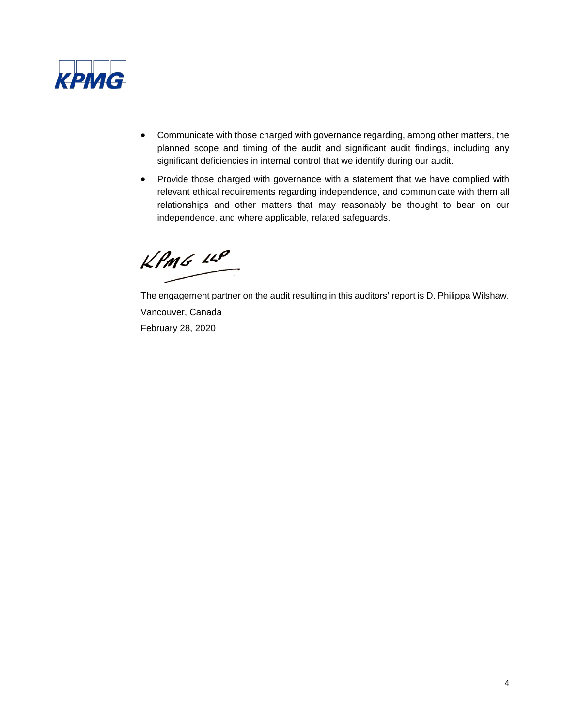

- Communicate with those charged with governance regarding, among other matters, the planned scope and timing of the audit and significant audit findings, including any significant deficiencies in internal control that we identify during our audit.
- Provide those charged with governance with a statement that we have complied with relevant ethical requirements regarding independence, and communicate with them all relationships and other matters that may reasonably be thought to bear on our independence, and where applicable, related safeguards.

KPMG LLP

The engagement partner on the audit resulting in this auditors' report is D. Philippa Wilshaw. Vancouver, Canada February 28, 2020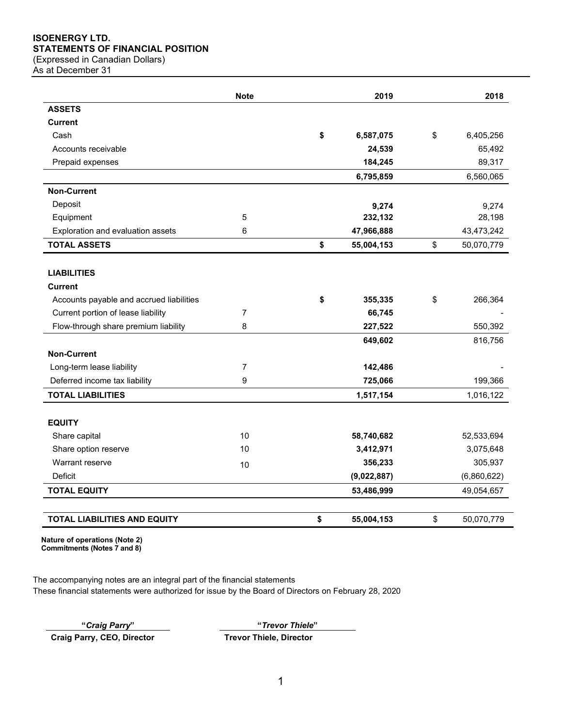#### **ISOENERGY LTD. STATEMENTS OF FINANCIAL POSITION** (Expressed in Canadian Dollars)

As at December 31

|                                          | <b>Note</b> | 2019             | 2018             |
|------------------------------------------|-------------|------------------|------------------|
| <b>ASSETS</b>                            |             |                  |                  |
| <b>Current</b>                           |             |                  |                  |
| Cash                                     |             | \$<br>6,587,075  | \$<br>6,405,256  |
| Accounts receivable                      |             | 24,539           | 65,492           |
| Prepaid expenses                         |             | 184,245          | 89,317           |
|                                          |             | 6,795,859        | 6,560,065        |
| <b>Non-Current</b>                       |             |                  |                  |
| Deposit                                  |             | 9,274            | 9,274            |
| Equipment                                | 5           | 232,132          | 28,198           |
| Exploration and evaluation assets        | 6           | 47,966,888       | 43,473,242       |
| <b>TOTAL ASSETS</b>                      |             | \$<br>55,004,153 | \$<br>50,070,779 |
|                                          |             |                  |                  |
| <b>LIABILITIES</b>                       |             |                  |                  |
| <b>Current</b>                           |             |                  |                  |
| Accounts payable and accrued liabilities |             | \$<br>355,335    | \$<br>266,364    |
| Current portion of lease liability       | 7           | 66,745           |                  |
| Flow-through share premium liability     | 8           | 227,522          | 550,392          |
|                                          |             | 649,602          | 816,756          |
| <b>Non-Current</b>                       |             |                  |                  |
| Long-term lease liability                | 7           | 142,486          |                  |
| Deferred income tax liability            | 9           | 725,066          | 199,366          |
| <b>TOTAL LIABILITIES</b>                 |             | 1,517,154        | 1,016,122        |
|                                          |             |                  |                  |
| <b>EQUITY</b>                            |             |                  |                  |
| Share capital                            | 10          | 58,740,682       | 52,533,694       |
| Share option reserve                     | 10          | 3,412,971        | 3,075,648        |
| Warrant reserve                          | 10          | 356,233          | 305,937          |
| Deficit                                  |             | (9,022,887)      | (6,860,622)      |
| <b>TOTAL EQUITY</b>                      |             | 53,486,999       | 49,054,657       |
| <b>TOTAL LIABILITIES AND EQUITY</b>      |             | \$<br>55,004,153 | \$<br>50,070,779 |

**Nature of operations (Note 2) Commitments (Notes 7 and 8)**

The accompanying notes are an integral part of the financial statements These financial statements were authorized for issue by the Board of Directors on February 28, 2020

**"***Craig Parry***" "***Trevor Thiele***"**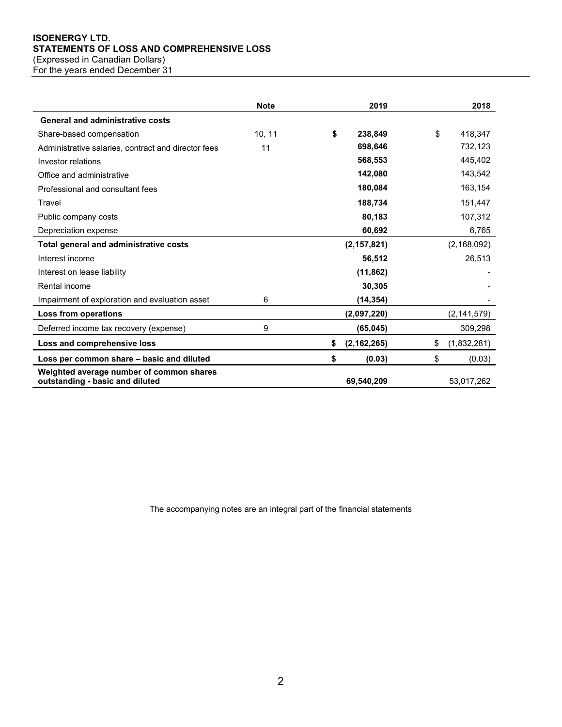#### **ISOENERGY LTD. STATEMENTS OF LOSS AND COMPREHENSIVE LOSS**

(Expressed in Canadian Dollars)

For the years ended December 31

|                                                                             | <b>Note</b> | 2019                | 2018              |
|-----------------------------------------------------------------------------|-------------|---------------------|-------------------|
| <b>General and administrative costs</b>                                     |             |                     |                   |
| Share-based compensation                                                    | 10, 11      | \$<br>238.849       | \$<br>418.347     |
| Administrative salaries, contract and director fees                         | 11          | 698,646             | 732,123           |
| Investor relations                                                          |             | 568,553             | 445,402           |
| Office and administrative                                                   |             | 142,080             | 143,542           |
| Professional and consultant fees                                            |             | 180,084             | 163,154           |
| Travel                                                                      |             | 188,734             | 151,447           |
| Public company costs                                                        |             | 80,183              | 107,312           |
| Depreciation expense                                                        |             | 60,692              | 6,765             |
| Total general and administrative costs                                      |             | (2, 157, 821)       | (2, 168, 092)     |
| Interest income                                                             |             | 56,512              | 26,513            |
| Interest on lease liability                                                 |             | (11, 862)           |                   |
| Rental income                                                               |             | 30,305              |                   |
| Impairment of exploration and evaluation asset                              | 6           | (14, 354)           |                   |
| Loss from operations                                                        |             | (2,097,220)         | (2, 141, 579)     |
| Deferred income tax recovery (expense)                                      | 9           | (65, 045)           | 309,298           |
| Loss and comprehensive loss                                                 |             | \$<br>(2, 162, 265) | \$<br>(1,832,281) |
| Loss per common share - basic and diluted                                   |             | \$<br>(0.03)        | \$<br>(0.03)      |
| Weighted average number of common shares<br>outstanding - basic and diluted |             | 69,540,209          | 53,017,262        |

The accompanying notes are an integral part of the financial statements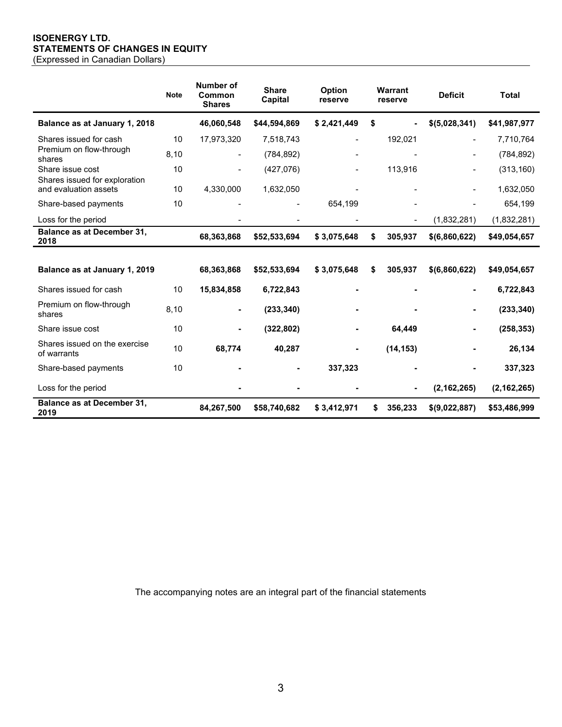# **ISOENERGY LTD. STATEMENTS OF CHANGES IN EQUITY**

| (Expressed in Canadian Dollars) |  |  |
|---------------------------------|--|--|
|---------------------------------|--|--|

|                                                   | <b>Note</b> | Number of<br>Common<br><b>Shares</b> | <b>Share</b><br>Capital | Option<br>reserve | <b>Warrant</b><br>reserve |                          |               |               |  |  |  |  | <b>Deficit</b> | <b>Total</b> |
|---------------------------------------------------|-------------|--------------------------------------|-------------------------|-------------------|---------------------------|--------------------------|---------------|---------------|--|--|--|--|----------------|--------------|
| Balance as at January 1, 2018                     |             | 46,060,548                           | \$44,594,869            | \$2,421,449       | \$                        |                          | \$(5,028,341) | \$41,987,977  |  |  |  |  |                |              |
| Shares issued for cash                            | 10          | 17,973,320                           | 7,518,743               |                   |                           | 192,021                  |               | 7,710,764     |  |  |  |  |                |              |
| Premium on flow-through<br>shares                 | 8,10        |                                      | (784, 892)              |                   |                           |                          |               | (784, 892)    |  |  |  |  |                |              |
| Share issue cost<br>Shares issued for exploration | 10          |                                      | (427, 076)              |                   |                           | 113,916                  |               | (313, 160)    |  |  |  |  |                |              |
| and evaluation assets                             | 10          | 4,330,000                            | 1,632,050               |                   |                           |                          |               | 1,632,050     |  |  |  |  |                |              |
| Share-based payments                              | 10          |                                      |                         | 654,199           |                           |                          |               | 654,199       |  |  |  |  |                |              |
| Loss for the period                               |             |                                      |                         |                   |                           | $\overline{\phantom{0}}$ | (1,832,281)   | (1,832,281)   |  |  |  |  |                |              |
| <b>Balance as at December 31,</b><br>2018         |             | 68,363,868                           | \$52,533,694            | \$3,075,648       | \$                        | 305,937                  | \$(6,860,622) | \$49,054,657  |  |  |  |  |                |              |
|                                                   |             |                                      |                         |                   |                           |                          |               |               |  |  |  |  |                |              |
| Balance as at January 1, 2019                     |             | 68,363,868                           | \$52,533,694            | \$3,075,648       | \$                        | 305,937                  | \$(6,860,622) | \$49,054,657  |  |  |  |  |                |              |
| Shares issued for cash                            | 10          | 15,834,858                           | 6,722,843               |                   |                           |                          |               | 6,722,843     |  |  |  |  |                |              |
| Premium on flow-through<br>shares                 | 8,10        |                                      | (233, 340)              |                   |                           |                          |               | (233, 340)    |  |  |  |  |                |              |
| Share issue cost                                  | 10          |                                      | (322, 802)              |                   |                           | 64,449                   |               | (258, 353)    |  |  |  |  |                |              |
| Shares issued on the exercise<br>of warrants      | 10          | 68,774                               | 40,287                  |                   |                           | (14, 153)                |               | 26,134        |  |  |  |  |                |              |
| Share-based payments                              | 10          |                                      |                         | 337,323           |                           |                          |               | 337,323       |  |  |  |  |                |              |
| Loss for the period                               |             |                                      |                         |                   |                           |                          | (2, 162, 265) | (2, 162, 265) |  |  |  |  |                |              |
| <b>Balance as at December 31,</b><br>2019         |             | 84,267,500                           | \$58,740,682            | \$3,412,971       | \$                        | 356,233                  | \$(9,022,887) | \$53,486,999  |  |  |  |  |                |              |

The accompanying notes are an integral part of the financial statements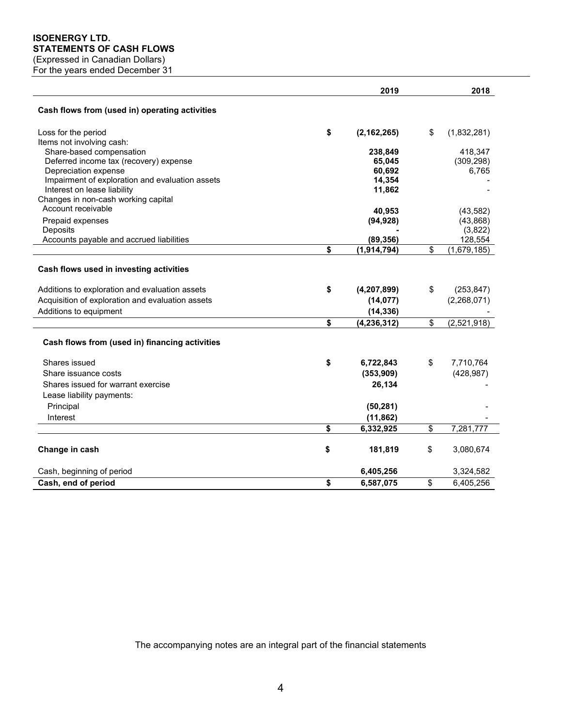|                                                                                                                                                                         | 2019                                          | 2018                            |
|-------------------------------------------------------------------------------------------------------------------------------------------------------------------------|-----------------------------------------------|---------------------------------|
| Cash flows from (used in) operating activities                                                                                                                          |                                               |                                 |
| Loss for the period                                                                                                                                                     | \$<br>(2, 162, 265)                           | \$<br>(1,832,281)               |
| Items not involving cash:                                                                                                                                               |                                               |                                 |
| Share-based compensation                                                                                                                                                | 238,849                                       | 418,347                         |
| Deferred income tax (recovery) expense                                                                                                                                  | 65,045                                        | (309, 298)                      |
| Depreciation expense<br>Impairment of exploration and evaluation assets                                                                                                 | 60,692<br>14,354                              | 6,765                           |
| Interest on lease liability                                                                                                                                             | 11,862                                        |                                 |
| Changes in non-cash working capital                                                                                                                                     |                                               |                                 |
| Account receivable                                                                                                                                                      | 40,953                                        |                                 |
| Prepaid expenses                                                                                                                                                        | (94, 928)                                     | (43, 582)<br>(43, 868)          |
| Deposits                                                                                                                                                                |                                               | (3,822)                         |
| Accounts payable and accrued liabilities                                                                                                                                | (89, 356)                                     | 128,554                         |
|                                                                                                                                                                         | \$<br>(1,914,794)                             | \$<br>(1,679,185)               |
| Cash flows used in investing activities<br>Additions to exploration and evaluation assets<br>Acquisition of exploration and evaluation assets<br>Additions to equipment | \$<br>(4, 207, 899)<br>(14, 077)<br>(14, 336) | \$<br>(253, 847)<br>(2,268,071) |
|                                                                                                                                                                         | \$<br>(4, 236, 312)                           | \$<br>(2,521,918)               |
| Cash flows from (used in) financing activities                                                                                                                          |                                               |                                 |
| Shares issued                                                                                                                                                           | \$<br>6,722,843                               | \$<br>7,710,764                 |
| Share issuance costs                                                                                                                                                    | (353,909)                                     | (428, 987)                      |
| Shares issued for warrant exercise                                                                                                                                      | 26,134                                        |                                 |
| Lease liability payments:                                                                                                                                               |                                               |                                 |
| Principal                                                                                                                                                               | (50, 281)                                     |                                 |
| Interest                                                                                                                                                                | (11, 862)                                     |                                 |
|                                                                                                                                                                         | \$<br>6,332,925                               | \$<br>7,281,777                 |
|                                                                                                                                                                         |                                               |                                 |
| Change in cash                                                                                                                                                          | \$<br>181,819                                 | \$<br>3,080,674                 |
| Cash, beginning of period                                                                                                                                               | 6,405,256                                     | 3,324,582                       |

The accompanying notes are an integral part of the financial statements

**Cash, end of period \$ 6,587,075** \$ 6,405,256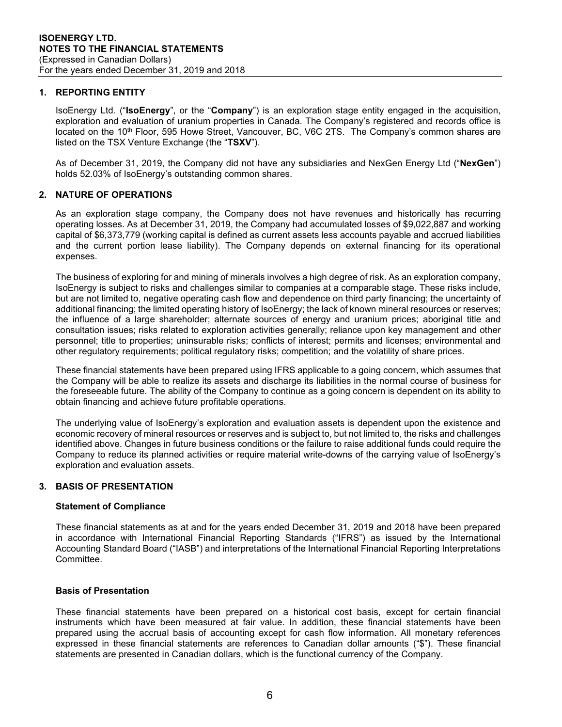#### **1. REPORTING ENTITY**

IsoEnergy Ltd. ("**IsoEnergy**", or the "**Company**") is an exploration stage entity engaged in the acquisition, exploration and evaluation of uranium properties in Canada. The Company's registered and records office is located on the 10<sup>th</sup> Floor, 595 Howe Street, Vancouver, BC, V6C 2TS. The Company's common shares are listed on the TSX Venture Exchange (the "**TSXV**").

As of December 31, 2019, the Company did not have any subsidiaries and NexGen Energy Ltd ("**NexGen**") holds 52.03% of IsoEnergy's outstanding common shares.

#### **2. NATURE OF OPERATIONS**

As an exploration stage company, the Company does not have revenues and historically has recurring operating losses. As at December 31, 2019, the Company had accumulated losses of \$9,022,887 and working capital of \$6,373,779 (working capital is defined as current assets less accounts payable and accrued liabilities and the current portion lease liability). The Company depends on external financing for its operational expenses.

The business of exploring for and mining of minerals involves a high degree of risk. As an exploration company, IsoEnergy is subject to risks and challenges similar to companies at a comparable stage. These risks include, but are not limited to, negative operating cash flow and dependence on third party financing; the uncertainty of additional financing; the limited operating history of IsoEnergy; the lack of known mineral resources or reserves; the influence of a large shareholder; alternate sources of energy and uranium prices; aboriginal title and consultation issues; risks related to exploration activities generally; reliance upon key management and other personnel; title to properties; uninsurable risks; conflicts of interest; permits and licenses; environmental and other regulatory requirements; political regulatory risks; competition; and the volatility of share prices.

These financial statements have been prepared using IFRS applicable to a going concern, which assumes that the Company will be able to realize its assets and discharge its liabilities in the normal course of business for the foreseeable future. The ability of the Company to continue as a going concern is dependent on its ability to obtain financing and achieve future profitable operations.

The underlying value of IsoEnergy's exploration and evaluation assets is dependent upon the existence and economic recovery of mineral resources or reserves and is subject to, but not limited to, the risks and challenges identified above. Changes in future business conditions or the failure to raise additional funds could require the Company to reduce its planned activities or require material write-downs of the carrying value of IsoEnergy's exploration and evaluation assets.

#### **3. BASIS OF PRESENTATION**

#### **Statement of Compliance**

These financial statements as at and for the years ended December 31, 2019 and 2018 have been prepared in accordance with International Financial Reporting Standards ("IFRS") as issued by the International Accounting Standard Board ("IASB") and interpretations of the International Financial Reporting Interpretations Committee.

#### **Basis of Presentation**

These financial statements have been prepared on a historical cost basis, except for certain financial instruments which have been measured at fair value. In addition, these financial statements have been prepared using the accrual basis of accounting except for cash flow information. All monetary references expressed in these financial statements are references to Canadian dollar amounts ("\$"). These financial statements are presented in Canadian dollars, which is the functional currency of the Company.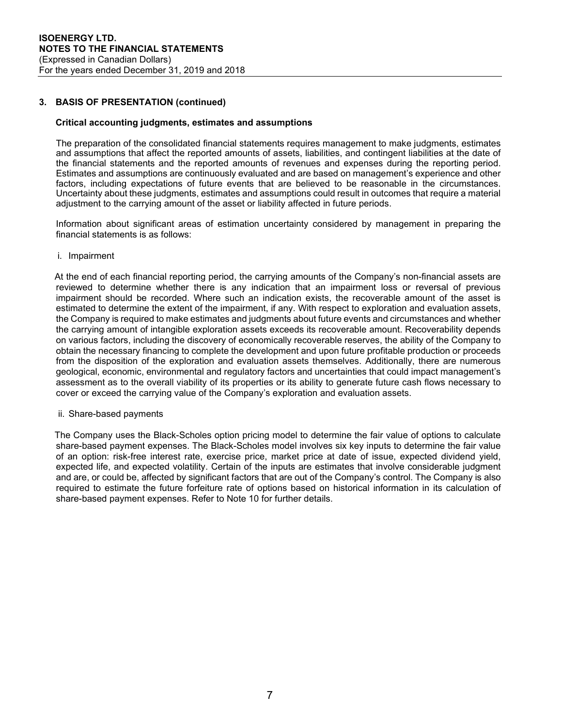#### **3. BASIS OF PRESENTATION (continued)**

#### **Critical accounting judgments, estimates and assumptions**

The preparation of the consolidated financial statements requires management to make judgments, estimates and assumptions that affect the reported amounts of assets, liabilities, and contingent liabilities at the date of the financial statements and the reported amounts of revenues and expenses during the reporting period. Estimates and assumptions are continuously evaluated and are based on management's experience and other factors, including expectations of future events that are believed to be reasonable in the circumstances. Uncertainty about these judgments, estimates and assumptions could result in outcomes that require a material adjustment to the carrying amount of the asset or liability affected in future periods.

Information about significant areas of estimation uncertainty considered by management in preparing the financial statements is as follows:

i. Impairment

At the end of each financial reporting period, the carrying amounts of the Company's non-financial assets are reviewed to determine whether there is any indication that an impairment loss or reversal of previous impairment should be recorded. Where such an indication exists, the recoverable amount of the asset is estimated to determine the extent of the impairment, if any. With respect to exploration and evaluation assets, the Company is required to make estimates and judgments about future events and circumstances and whether the carrying amount of intangible exploration assets exceeds its recoverable amount. Recoverability depends on various factors, including the discovery of economically recoverable reserves, the ability of the Company to obtain the necessary financing to complete the development and upon future profitable production or proceeds from the disposition of the exploration and evaluation assets themselves. Additionally, there are numerous geological, economic, environmental and regulatory factors and uncertainties that could impact management's assessment as to the overall viability of its properties or its ability to generate future cash flows necessary to cover or exceed the carrying value of the Company's exploration and evaluation assets.

#### ii. Share-based payments

The Company uses the Black-Scholes option pricing model to determine the fair value of options to calculate share-based payment expenses. The Black-Scholes model involves six key inputs to determine the fair value of an option: risk-free interest rate, exercise price, market price at date of issue, expected dividend yield, expected life, and expected volatility. Certain of the inputs are estimates that involve considerable judgment and are, or could be, affected by significant factors that are out of the Company's control. The Company is also required to estimate the future forfeiture rate of options based on historical information in its calculation of share-based payment expenses. Refer to Note 10 for further details.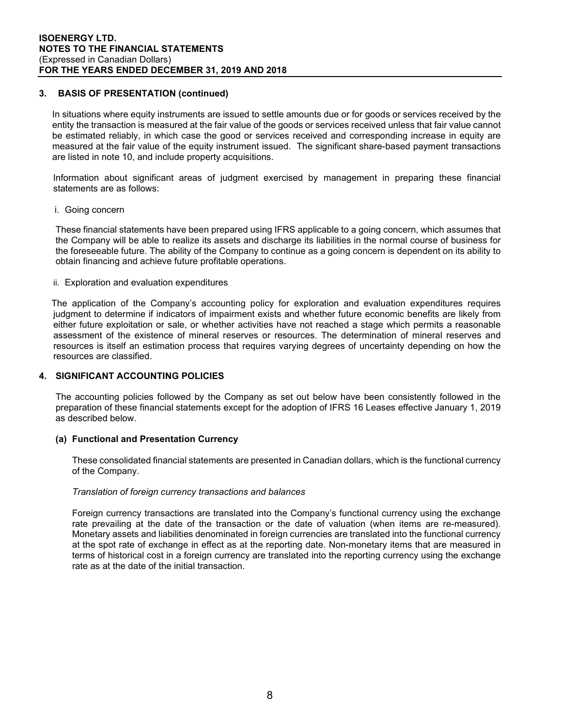#### **3. BASIS OF PRESENTATION (continued)**

In situations where equity instruments are issued to settle amounts due or for goods or services received by the entity the transaction is measured at the fair value of the goods or services received unless that fair value cannot be estimated reliably, in which case the good or services received and corresponding increase in equity are measured at the fair value of the equity instrument issued. The significant share-based payment transactions are listed in note 10, and include property acquisitions.

Information about significant areas of judgment exercised by management in preparing these financial statements are as follows:

#### i. Going concern

These financial statements have been prepared using IFRS applicable to a going concern, which assumes that the Company will be able to realize its assets and discharge its liabilities in the normal course of business for the foreseeable future. The ability of the Company to continue as a going concern is dependent on its ability to obtain financing and achieve future profitable operations.

#### ii. Exploration and evaluation expenditures

The application of the Company's accounting policy for exploration and evaluation expenditures requires judgment to determine if indicators of impairment exists and whether future economic benefits are likely from either future exploitation or sale, or whether activities have not reached a stage which permits a reasonable assessment of the existence of mineral reserves or resources. The determination of mineral reserves and resources is itself an estimation process that requires varying degrees of uncertainty depending on how the resources are classified.

#### **4. SIGNIFICANT ACCOUNTING POLICIES**

The accounting policies followed by the Company as set out below have been consistently followed in the preparation of these financial statements except for the adoption of IFRS 16 Leases effective January 1, 2019 as described below.

#### **(a) Functional and Presentation Currency**

These consolidated financial statements are presented in Canadian dollars, which is the functional currency of the Company.

#### *Translation of foreign currency transactions and balances*

Foreign currency transactions are translated into the Company's functional currency using the exchange rate prevailing at the date of the transaction or the date of valuation (when items are re-measured). Monetary assets and liabilities denominated in foreign currencies are translated into the functional currency at the spot rate of exchange in effect as at the reporting date. Non-monetary items that are measured in terms of historical cost in a foreign currency are translated into the reporting currency using the exchange rate as at the date of the initial transaction.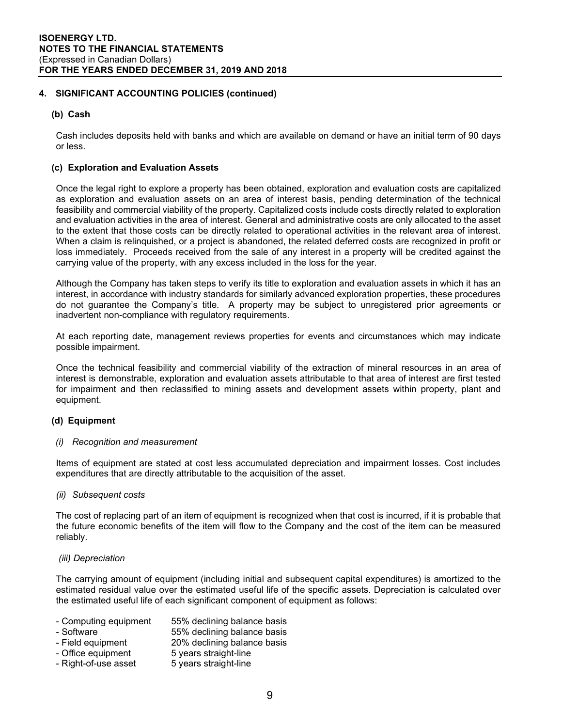#### **(b) Cash**

Cash includes deposits held with banks and which are available on demand or have an initial term of 90 days or less.

#### **(c) Exploration and Evaluation Assets**

Once the legal right to explore a property has been obtained, exploration and evaluation costs are capitalized as exploration and evaluation assets on an area of interest basis, pending determination of the technical feasibility and commercial viability of the property. Capitalized costs include costs directly related to exploration and evaluation activities in the area of interest. General and administrative costs are only allocated to the asset to the extent that those costs can be directly related to operational activities in the relevant area of interest. When a claim is relinquished, or a project is abandoned, the related deferred costs are recognized in profit or loss immediately. Proceeds received from the sale of any interest in a property will be credited against the carrying value of the property, with any excess included in the loss for the year.

Although the Company has taken steps to verify its title to exploration and evaluation assets in which it has an interest, in accordance with industry standards for similarly advanced exploration properties, these procedures do not guarantee the Company's title. A property may be subject to unregistered prior agreements or inadvertent non-compliance with regulatory requirements.

At each reporting date, management reviews properties for events and circumstances which may indicate possible impairment.

Once the technical feasibility and commercial viability of the extraction of mineral resources in an area of interest is demonstrable, exploration and evaluation assets attributable to that area of interest are first tested for impairment and then reclassified to mining assets and development assets within property, plant and equipment.

#### **(d) Equipment**

#### *(i) Recognition and measurement*

Items of equipment are stated at cost less accumulated depreciation and impairment losses. Cost includes expenditures that are directly attributable to the acquisition of the asset.

#### *(ii) Subsequent costs*

The cost of replacing part of an item of equipment is recognized when that cost is incurred, if it is probable that the future economic benefits of the item will flow to the Company and the cost of the item can be measured reliably.

#### *(iii) Depreciation*

The carrying amount of equipment (including initial and subsequent capital expenditures) is amortized to the estimated residual value over the estimated useful life of the specific assets. Depreciation is calculated over the estimated useful life of each significant component of equipment as follows:

| - Computing equipment | 55% declining balance basis |
|-----------------------|-----------------------------|
| - Software            | 55% declining balance basis |
| - Field equipment     | 20% declining balance basis |
| - Office equipment    | 5 years straight-line       |
| - Right-of-use asset  | 5 years straight-line       |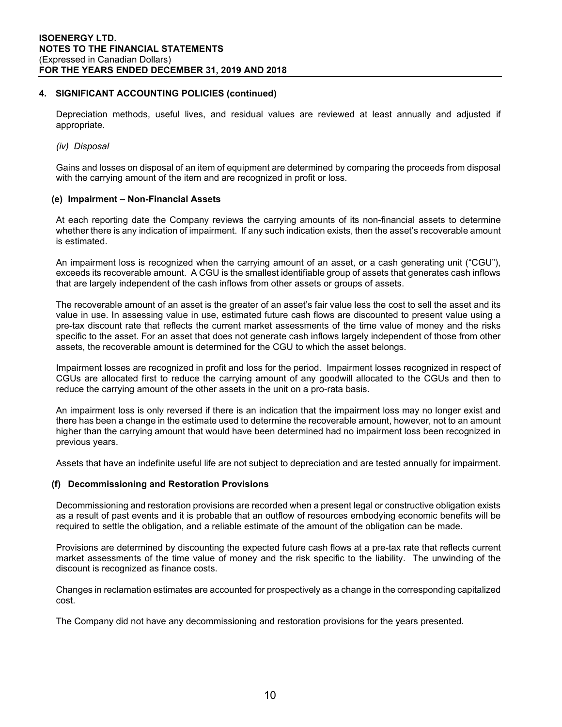Depreciation methods, useful lives, and residual values are reviewed at least annually and adjusted if appropriate.

#### *(iv) Disposal*

Gains and losses on disposal of an item of equipment are determined by comparing the proceeds from disposal with the carrying amount of the item and are recognized in profit or loss.

#### **(e) Impairment – Non-Financial Assets**

At each reporting date the Company reviews the carrying amounts of its non-financial assets to determine whether there is any indication of impairment. If any such indication exists, then the asset's recoverable amount is estimated.

An impairment loss is recognized when the carrying amount of an asset, or a cash generating unit ("CGU"), exceeds its recoverable amount. A CGU is the smallest identifiable group of assets that generates cash inflows that are largely independent of the cash inflows from other assets or groups of assets.

The recoverable amount of an asset is the greater of an asset's fair value less the cost to sell the asset and its value in use. In assessing value in use, estimated future cash flows are discounted to present value using a pre-tax discount rate that reflects the current market assessments of the time value of money and the risks specific to the asset. For an asset that does not generate cash inflows largely independent of those from other assets, the recoverable amount is determined for the CGU to which the asset belongs.

Impairment losses are recognized in profit and loss for the period. Impairment losses recognized in respect of CGUs are allocated first to reduce the carrying amount of any goodwill allocated to the CGUs and then to reduce the carrying amount of the other assets in the unit on a pro-rata basis.

An impairment loss is only reversed if there is an indication that the impairment loss may no longer exist and there has been a change in the estimate used to determine the recoverable amount, however, not to an amount higher than the carrying amount that would have been determined had no impairment loss been recognized in previous years.

Assets that have an indefinite useful life are not subject to depreciation and are tested annually for impairment.

#### **(f) Decommissioning and Restoration Provisions**

Decommissioning and restoration provisions are recorded when a present legal or constructive obligation exists as a result of past events and it is probable that an outflow of resources embodying economic benefits will be required to settle the obligation, and a reliable estimate of the amount of the obligation can be made.

Provisions are determined by discounting the expected future cash flows at a pre-tax rate that reflects current market assessments of the time value of money and the risk specific to the liability. The unwinding of the discount is recognized as finance costs.

Changes in reclamation estimates are accounted for prospectively as a change in the corresponding capitalized cost.

The Company did not have any decommissioning and restoration provisions for the years presented.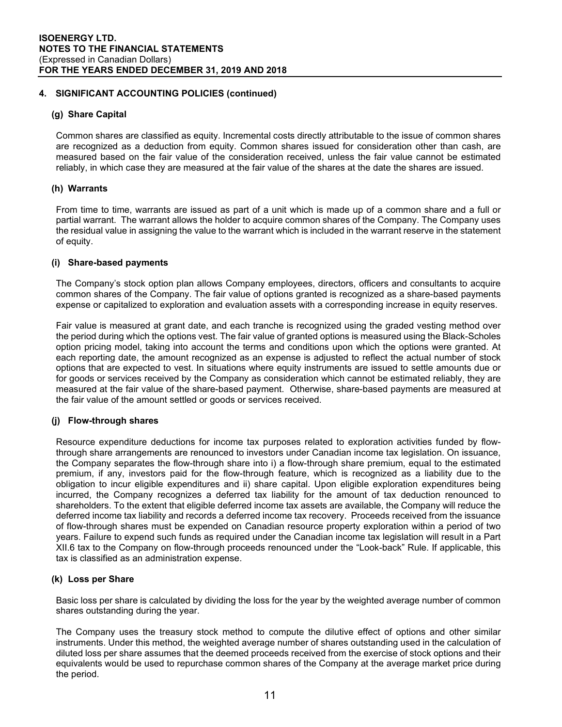#### **(g) Share Capital**

Common shares are classified as equity. Incremental costs directly attributable to the issue of common shares are recognized as a deduction from equity. Common shares issued for consideration other than cash, are measured based on the fair value of the consideration received, unless the fair value cannot be estimated reliably, in which case they are measured at the fair value of the shares at the date the shares are issued.

#### **(h) Warrants**

From time to time, warrants are issued as part of a unit which is made up of a common share and a full or partial warrant. The warrant allows the holder to acquire common shares of the Company. The Company uses the residual value in assigning the value to the warrant which is included in the warrant reserve in the statement of equity.

#### **(i) Share-based payments**

The Company's stock option plan allows Company employees, directors, officers and consultants to acquire common shares of the Company. The fair value of options granted is recognized as a share-based payments expense or capitalized to exploration and evaluation assets with a corresponding increase in equity reserves.

Fair value is measured at grant date, and each tranche is recognized using the graded vesting method over the period during which the options vest. The fair value of granted options is measured using the Black-Scholes option pricing model, taking into account the terms and conditions upon which the options were granted. At each reporting date, the amount recognized as an expense is adjusted to reflect the actual number of stock options that are expected to vest. In situations where equity instruments are issued to settle amounts due or for goods or services received by the Company as consideration which cannot be estimated reliably, they are measured at the fair value of the share-based payment. Otherwise, share-based payments are measured at the fair value of the amount settled or goods or services received.

#### **(j) Flow-through shares**

Resource expenditure deductions for income tax purposes related to exploration activities funded by flowthrough share arrangements are renounced to investors under Canadian income tax legislation. On issuance, the Company separates the flow-through share into i) a flow-through share premium, equal to the estimated premium, if any, investors paid for the flow-through feature, which is recognized as a liability due to the obligation to incur eligible expenditures and ii) share capital. Upon eligible exploration expenditures being incurred, the Company recognizes a deferred tax liability for the amount of tax deduction renounced to shareholders. To the extent that eligible deferred income tax assets are available, the Company will reduce the deferred income tax liability and records a deferred income tax recovery. Proceeds received from the issuance of flow-through shares must be expended on Canadian resource property exploration within a period of two years. Failure to expend such funds as required under the Canadian income tax legislation will result in a Part XII.6 tax to the Company on flow-through proceeds renounced under the "Look-back" Rule. If applicable, this tax is classified as an administration expense.

#### **(k) Loss per Share**

Basic loss per share is calculated by dividing the loss for the year by the weighted average number of common shares outstanding during the year.

The Company uses the treasury stock method to compute the dilutive effect of options and other similar instruments. Under this method, the weighted average number of shares outstanding used in the calculation of diluted loss per share assumes that the deemed proceeds received from the exercise of stock options and their equivalents would be used to repurchase common shares of the Company at the average market price during the period.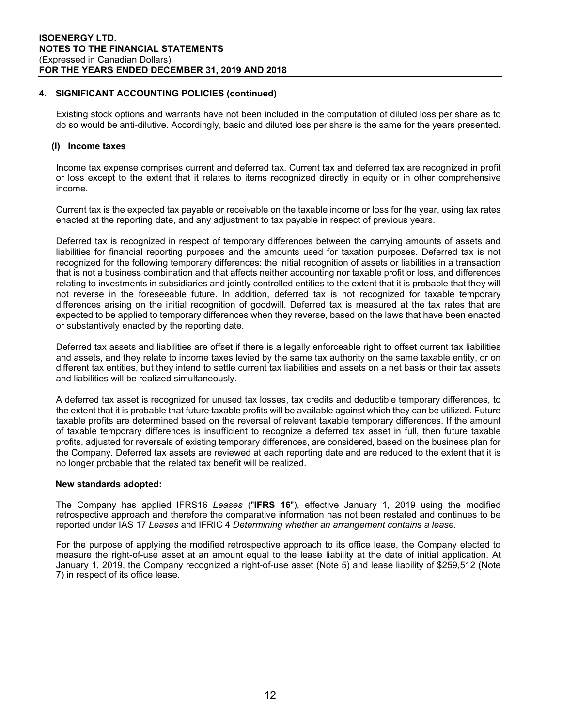Existing stock options and warrants have not been included in the computation of diluted loss per share as to do so would be anti-dilutive. Accordingly, basic and diluted loss per share is the same for the years presented.

#### **(l) Income taxes**

Income tax expense comprises current and deferred tax. Current tax and deferred tax are recognized in profit or loss except to the extent that it relates to items recognized directly in equity or in other comprehensive income.

Current tax is the expected tax payable or receivable on the taxable income or loss for the year, using tax rates enacted at the reporting date, and any adjustment to tax payable in respect of previous years.

Deferred tax is recognized in respect of temporary differences between the carrying amounts of assets and liabilities for financial reporting purposes and the amounts used for taxation purposes. Deferred tax is not recognized for the following temporary differences: the initial recognition of assets or liabilities in a transaction that is not a business combination and that affects neither accounting nor taxable profit or loss, and differences relating to investments in subsidiaries and jointly controlled entities to the extent that it is probable that they will not reverse in the foreseeable future. In addition, deferred tax is not recognized for taxable temporary differences arising on the initial recognition of goodwill. Deferred tax is measured at the tax rates that are expected to be applied to temporary differences when they reverse, based on the laws that have been enacted or substantively enacted by the reporting date.

Deferred tax assets and liabilities are offset if there is a legally enforceable right to offset current tax liabilities and assets, and they relate to income taxes levied by the same tax authority on the same taxable entity, or on different tax entities, but they intend to settle current tax liabilities and assets on a net basis or their tax assets and liabilities will be realized simultaneously.

A deferred tax asset is recognized for unused tax losses, tax credits and deductible temporary differences, to the extent that it is probable that future taxable profits will be available against which they can be utilized. Future taxable profits are determined based on the reversal of relevant taxable temporary differences. If the amount of taxable temporary differences is insufficient to recognize a deferred tax asset in full, then future taxable profits, adjusted for reversals of existing temporary differences, are considered, based on the business plan for the Company. Deferred tax assets are reviewed at each reporting date and are reduced to the extent that it is no longer probable that the related tax benefit will be realized.

#### **New standards adopted:**

The Company has applied IFRS16 *Leases* ("**IFRS 16**"), effective January 1, 2019 using the modified retrospective approach and therefore the comparative information has not been restated and continues to be reported under IAS 17 *Leases* and IFRIC 4 *Determining whether an arrangement contains a lease.*

For the purpose of applying the modified retrospective approach to its office lease, the Company elected to measure the right-of-use asset at an amount equal to the lease liability at the date of initial application. At January 1, 2019, the Company recognized a right-of-use asset (Note 5) and lease liability of \$259,512 (Note 7) in respect of its office lease.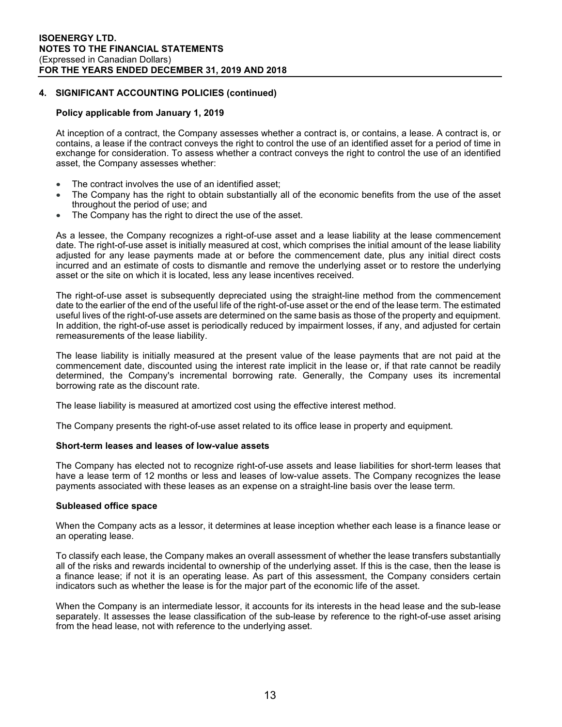#### **Policy applicable from January 1, 2019**

At inception of a contract, the Company assesses whether a contract is, or contains, a lease. A contract is, or contains, a lease if the contract conveys the right to control the use of an identified asset for a period of time in exchange for consideration. To assess whether a contract conveys the right to control the use of an identified asset, the Company assesses whether:

- The contract involves the use of an identified asset:
- The Company has the right to obtain substantially all of the economic benefits from the use of the asset throughout the period of use; and
- The Company has the right to direct the use of the asset.

As a lessee, the Company recognizes a right-of-use asset and a lease liability at the lease commencement date. The right-of-use asset is initially measured at cost, which comprises the initial amount of the lease liability adjusted for any lease payments made at or before the commencement date, plus any initial direct costs incurred and an estimate of costs to dismantle and remove the underlying asset or to restore the underlying asset or the site on which it is located, less any lease incentives received.

The right-of-use asset is subsequently depreciated using the straight-line method from the commencement date to the earlier of the end of the useful life of the right-of-use asset or the end of the lease term. The estimated useful lives of the right-of-use assets are determined on the same basis as those of the property and equipment. In addition, the right-of-use asset is periodically reduced by impairment losses, if any, and adjusted for certain remeasurements of the lease liability.

The lease liability is initially measured at the present value of the lease payments that are not paid at the commencement date, discounted using the interest rate implicit in the lease or, if that rate cannot be readily determined, the Company's incremental borrowing rate. Generally, the Company uses its incremental borrowing rate as the discount rate.

The lease liability is measured at amortized cost using the effective interest method.

The Company presents the right-of-use asset related to its office lease in property and equipment.

#### **Short-term leases and leases of low-value assets**

The Company has elected not to recognize right-of-use assets and lease liabilities for short-term leases that have a lease term of 12 months or less and leases of low-value assets. The Company recognizes the lease payments associated with these leases as an expense on a straight-line basis over the lease term.

#### **Subleased office space**

When the Company acts as a lessor, it determines at lease inception whether each lease is a finance lease or an operating lease.

To classify each lease, the Company makes an overall assessment of whether the lease transfers substantially all of the risks and rewards incidental to ownership of the underlying asset. If this is the case, then the lease is a finance lease; if not it is an operating lease. As part of this assessment, the Company considers certain indicators such as whether the lease is for the major part of the economic life of the asset.

When the Company is an intermediate lessor, it accounts for its interests in the head lease and the sub-lease separately. It assesses the lease classification of the sub-lease by reference to the right-of-use asset arising from the head lease, not with reference to the underlying asset.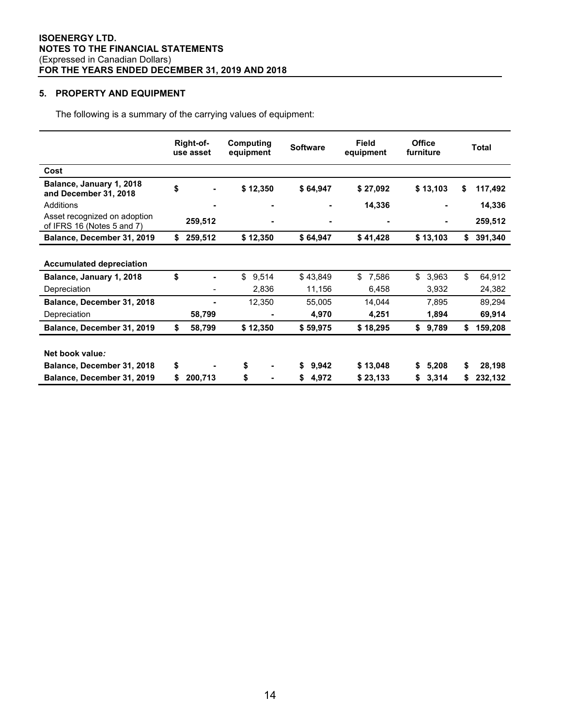## **5. PROPERTY AND EQUIPMENT**

The following is a summary of the carrying values of equipment:

|                                                            |    | Right-of-<br>use asset | Computing<br>equipment | <b>Field</b><br><b>Software</b><br>equipment |     |          | <b>Office</b><br>furniture |          | <b>Total</b> |         |
|------------------------------------------------------------|----|------------------------|------------------------|----------------------------------------------|-----|----------|----------------------------|----------|--------------|---------|
| Cost                                                       |    |                        |                        |                                              |     |          |                            |          |              |         |
| Balance, January 1, 2018<br>and December 31, 2018          | \$ |                        | \$12,350               | \$64,947                                     |     | \$27,092 |                            | \$13,103 | S            | 117,492 |
| Additions                                                  |    |                        |                        |                                              |     | 14,336   |                            |          |              | 14,336  |
| Asset recognized on adoption<br>of IFRS 16 (Notes 5 and 7) |    | 259,512                |                        |                                              |     | -        |                            | ٠        |              | 259,512 |
| Balance, December 31, 2019                                 | S  | 259,512                | \$12,350               | \$64,947                                     |     | \$41,428 |                            | \$13,103 | \$           | 391,340 |
| <b>Accumulated depreciation</b>                            |    |                        |                        |                                              |     |          |                            |          |              |         |
| Balance, January 1, 2018                                   | \$ |                        | \$<br>9,514            | \$43,849                                     | \$. | 7,586    | \$                         | 3,963    | \$           | 64,912  |
| Depreciation                                               |    |                        | 2,836                  | 11,156                                       |     | 6,458    |                            | 3,932    |              | 24,382  |
| Balance, December 31, 2018                                 |    |                        | 12,350                 | 55,005                                       |     | 14,044   |                            | 7,895    |              | 89,294  |
| Depreciation                                               |    | 58,799                 |                        | 4,970                                        |     | 4,251    |                            | 1,894    |              | 69,914  |
| Balance, December 31, 2019                                 | \$ | 58,799                 | \$12,350               | \$59,975                                     |     | \$18,295 | \$                         | 9,789    | \$           | 159,208 |
|                                                            |    |                        |                        |                                              |     |          |                            |          |              |         |
| Net book value:                                            |    |                        |                        |                                              |     |          |                            |          |              |         |
| Balance, December 31, 2018                                 | \$ |                        | \$                     | \$<br>9,942                                  |     | \$13,048 | S.                         | 5,208    | \$           | 28,198  |
| Balance, December 31, 2019                                 | \$ | 200,713                | \$                     | \$<br>4,972                                  |     | \$23,133 | \$                         | 3,314    |              | 232,132 |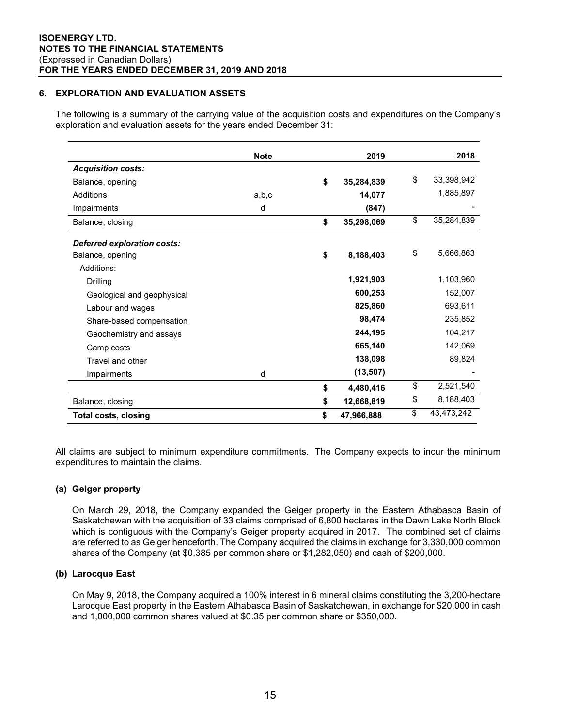#### **6. EXPLORATION AND EVALUATION ASSETS**

The following is a summary of the carrying value of the acquisition costs and expenditures on the Company's exploration and evaluation assets for the years ended December 31:

|                                    | <b>Note</b> | 2019             | 2018             |
|------------------------------------|-------------|------------------|------------------|
| <b>Acquisition costs:</b>          |             |                  |                  |
| Balance, opening                   |             | \$<br>35,284,839 | \$<br>33,398,942 |
| Additions                          | a,b,c       | 14,077           | 1,885,897        |
| Impairments                        | d           | (847)            |                  |
| Balance, closing                   |             | \$<br>35,298,069 | \$<br>35,284,839 |
| <b>Deferred exploration costs:</b> |             |                  |                  |
| Balance, opening                   |             | \$<br>8,188,403  | \$<br>5,666,863  |
| Additions:                         |             |                  |                  |
| Drilling                           |             | 1,921,903        | 1,103,960        |
| Geological and geophysical         |             | 600,253          | 152,007          |
| Labour and wages                   |             | 825,860          | 693,611          |
| Share-based compensation           |             | 98,474           | 235,852          |
| Geochemistry and assays            |             | 244,195          | 104,217          |
| Camp costs                         |             | 665,140          | 142,069          |
| Travel and other                   |             | 138,098          | 89,824           |
| Impairments                        | d           | (13, 507)        |                  |
|                                    |             | \$<br>4,480,416  | \$<br>2,521,540  |
| Balance, closing                   |             | \$<br>12,668,819 | \$<br>8,188,403  |
| <b>Total costs, closing</b>        |             | \$<br>47,966,888 | \$<br>43.473.242 |

All claims are subject to minimum expenditure commitments. The Company expects to incur the minimum expenditures to maintain the claims.

#### **(a) Geiger property**

On March 29, 2018, the Company expanded the Geiger property in the Eastern Athabasca Basin of Saskatchewan with the acquisition of 33 claims comprised of 6,800 hectares in the Dawn Lake North Block which is contiguous with the Company's Geiger property acquired in 2017. The combined set of claims are referred to as Geiger henceforth. The Company acquired the claims in exchange for 3,330,000 common shares of the Company (at \$0.385 per common share or \$1,282,050) and cash of \$200,000.

#### **(b) Larocque East**

On May 9, 2018, the Company acquired a 100% interest in 6 mineral claims constituting the 3,200-hectare Larocque East property in the Eastern Athabasca Basin of Saskatchewan, in exchange for \$20,000 in cash and 1,000,000 common shares valued at \$0.35 per common share or \$350,000.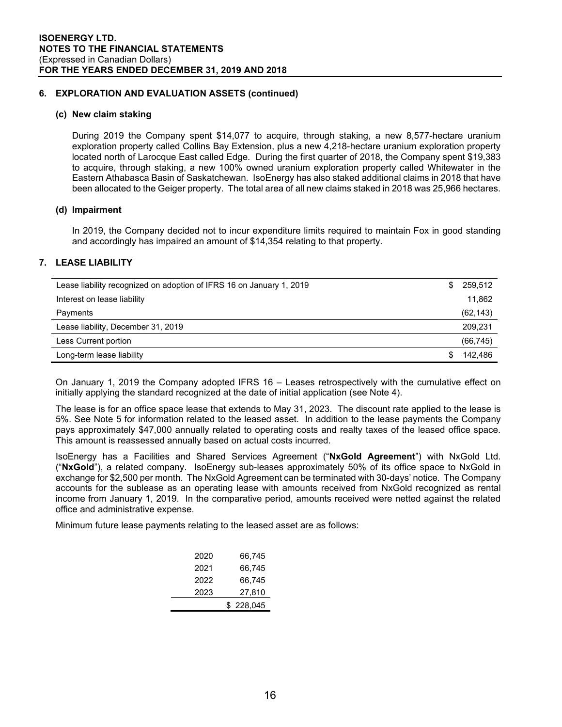#### **6. EXPLORATION AND EVALUATION ASSETS (continued)**

#### **(c) New claim staking**

During 2019 the Company spent \$14,077 to acquire, through staking, a new 8,577-hectare uranium exploration property called Collins Bay Extension, plus a new 4,218-hectare uranium exploration property located north of Larocque East called Edge. During the first quarter of 2018, the Company spent \$19,383 to acquire, through staking, a new 100% owned uranium exploration property called Whitewater in the Eastern Athabasca Basin of Saskatchewan. IsoEnergy has also staked additional claims in 2018 that have been allocated to the Geiger property. The total area of all new claims staked in 2018 was 25,966 hectares.

#### **(d) Impairment**

In 2019, the Company decided not to incur expenditure limits required to maintain Fox in good standing and accordingly has impaired an amount of \$14,354 relating to that property.

#### **7. LEASE LIABILITY**

| Lease liability recognized on adoption of IFRS 16 on January 1, 2019 | S | 259.512   |
|----------------------------------------------------------------------|---|-----------|
| Interest on lease liability                                          |   | 11.862    |
| Payments                                                             |   | (62, 143) |
| Lease liability, December 31, 2019                                   |   | 209.231   |
| Less Current portion                                                 |   | (66, 745) |
| Long-term lease liability                                            | S | 142.486   |

On January 1, 2019 the Company adopted IFRS 16 – Leases retrospectively with the cumulative effect on initially applying the standard recognized at the date of initial application (see Note 4).

The lease is for an office space lease that extends to May 31, 2023. The discount rate applied to the lease is 5%. See Note 5 for information related to the leased asset. In addition to the lease payments the Company pays approximately \$47,000 annually related to operating costs and realty taxes of the leased office space. This amount is reassessed annually based on actual costs incurred.

IsoEnergy has a Facilities and Shared Services Agreement ("**NxGold Agreement**") with NxGold Ltd. ("**NxGold**"), a related company. IsoEnergy sub-leases approximately 50% of its office space to NxGold in exchange for \$2,500 per month. The NxGold Agreement can be terminated with 30-days' notice. The Company accounts for the sublease as an operating lease with amounts received from NxGold recognized as rental income from January 1, 2019. In the comparative period, amounts received were netted against the related office and administrative expense.

Minimum future lease payments relating to the leased asset are as follows:

| 2020 | 66,745    |
|------|-----------|
| 2021 | 66,745    |
| 2022 | 66,745    |
| 2023 | 27,810    |
|      | \$228,045 |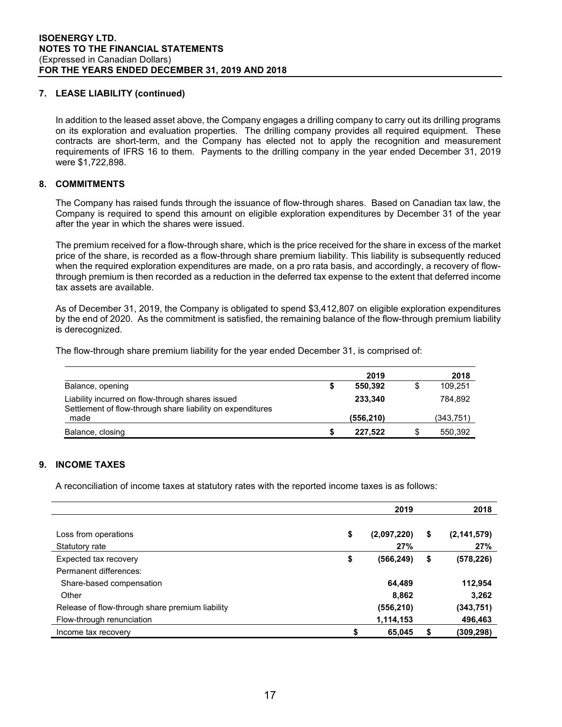#### **7. LEASE LIABILITY (continued)**

In addition to the leased asset above, the Company engages a drilling company to carry out its drilling programs on its exploration and evaluation properties. The drilling company provides all required equipment. These contracts are short-term, and the Company has elected not to apply the recognition and measurement requirements of IFRS 16 to them. Payments to the drilling company in the year ended December 31, 2019 were \$1,722,898.

#### **8. COMMITMENTS**

The Company has raised funds through the issuance of flow-through shares. Based on Canadian tax law, the Company is required to spend this amount on eligible exploration expenditures by December 31 of the year after the year in which the shares were issued.

The premium received for a flow-through share, which is the price received for the share in excess of the market price of the share, is recorded as a flow-through share premium liability. This liability is subsequently reduced when the required exploration expenditures are made, on a pro rata basis, and accordingly, a recovery of flowthrough premium is then recorded as a reduction in the deferred tax expense to the extent that deferred income tax assets are available.

As of December 31, 2019, the Company is obligated to spend \$3,412,807 on eligible exploration expenditures by the end of 2020. As the commitment is satisfied, the remaining balance of the flow-through premium liability is derecognized.

The flow-through share premium liability for the year ended December 31, is comprised of:

|                                                                                                                | 2019       |    | 2018      |
|----------------------------------------------------------------------------------------------------------------|------------|----|-----------|
| Balance, opening                                                                                               | 550.392    | \$ | 109.251   |
| Liability incurred on flow-through shares issued<br>Settlement of flow-through share liability on expenditures | 233.340    |    | 784.892   |
| made                                                                                                           | (556, 210) |    | (343,751) |
| Balance, closing                                                                                               | 227.522    | S  | 550,392   |

## **9. INCOME TAXES**

A reconciliation of income taxes at statutory rates with the reported income taxes is as follows:

|                                                 | 2019 |             |    | 2018          |
|-------------------------------------------------|------|-------------|----|---------------|
|                                                 |      |             |    |               |
| Loss from operations                            | \$   | (2,097,220) | \$ | (2, 141, 579) |
| Statutory rate                                  |      | 27%         |    | 27%           |
| Expected tax recovery                           | \$   | (566, 249)  | \$ | (578,226)     |
| Permanent differences:                          |      |             |    |               |
| Share-based compensation                        |      | 64,489      |    | 112,954       |
| Other                                           |      | 8,862       |    | 3,262         |
| Release of flow-through share premium liability |      | (556, 210)  |    | (343, 751)    |
| Flow-through renunciation                       |      | 1,114,153   |    | 496,463       |
| Income tax recovery                             |      | 65,045      |    | (309,298)     |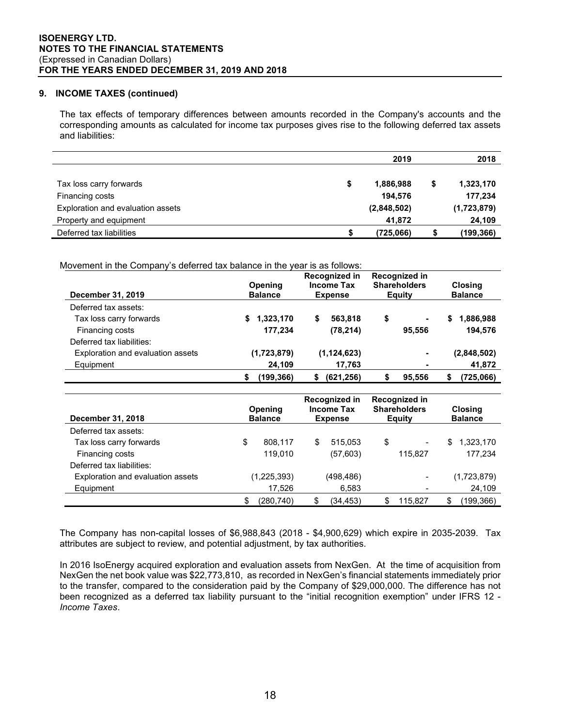#### **9. INCOME TAXES (continued)**

The tax effects of temporary differences between amounts recorded in the Company's accounts and the corresponding amounts as calculated for income tax purposes gives rise to the following deferred tax assets and liabilities:

|                                   |   | 2019        |   | 2018        |
|-----------------------------------|---|-------------|---|-------------|
|                                   |   |             |   |             |
| Tax loss carry forwards           | S | 1,886,988   | S | 1,323,170   |
| Financing costs                   |   | 194.576     |   | 177,234     |
| Exploration and evaluation assets |   | (2,848,502) |   | (1,723,879) |
| Property and equipment            |   | 41,872      |   | 24,109      |
| Deferred tax liabilities          |   | (725,066)   |   | (199,366)   |

| December 31, 2019                 | <b>Opening</b><br><b>Balance</b> | Recognized in<br><b>Income Tax</b><br><b>Expense</b> | Recognized in<br><b>Shareholders</b><br><b>Equity</b> | <b>Closing</b><br><b>Balance</b> |
|-----------------------------------|----------------------------------|------------------------------------------------------|-------------------------------------------------------|----------------------------------|
| Deferred tax assets:              |                                  |                                                      |                                                       |                                  |
| Tax loss carry forwards           | 1,323,170<br>S.                  | 563,818<br>S                                         | \$<br>٠                                               | 1,886,988<br>S                   |
| Financing costs                   | 177,234                          | (78, 214)                                            | 95.556                                                | 194,576                          |
| Deferred tax liabilities:         |                                  |                                                      |                                                       |                                  |
| Exploration and evaluation assets | (1,723,879)                      | (1, 124, 623)                                        | ۰                                                     | (2,848,502)                      |
| Equipment                         | 24,109                           | 17,763                                               |                                                       | 41,872                           |
|                                   | (199, 366)                       | (621, 256)                                           | 95,556                                                | 725,066)                         |

| December 31, 2018                 | <b>Opening</b><br><b>Balance</b> |             | Recognized in<br><b>Income Tax</b><br><b>Expense</b> |            | Recognized in<br><b>Shareholders</b><br><b>Equity</b> |         |     | <b>Closing</b><br><b>Balance</b> |
|-----------------------------------|----------------------------------|-------------|------------------------------------------------------|------------|-------------------------------------------------------|---------|-----|----------------------------------|
| Deferred tax assets:              |                                  |             |                                                      |            |                                                       |         |     |                                  |
| Tax loss carry forwards           | \$                               | 808.117     | S                                                    | 515.053    | \$                                                    |         | \$. | 1.323.170                        |
| Financing costs                   |                                  | 119.010     |                                                      | (57, 603)  |                                                       | 115.827 |     | 177.234                          |
| Deferred tax liabilities:         |                                  |             |                                                      |            |                                                       |         |     |                                  |
| Exploration and evaluation assets |                                  | (1,225,393) |                                                      | (498, 486) |                                                       |         |     | (1,723,879)                      |
| Equipment                         |                                  | 17,526      |                                                      | 6,583      |                                                       |         |     | 24,109                           |
|                                   | \$                               | (280,740)   |                                                      | (34,453)   |                                                       | 115.827 | S   | (199, 366)                       |

The Company has non-capital losses of \$6,988,843 (2018 - \$4,900,629) which expire in 2035-2039. Tax attributes are subject to review, and potential adjustment, by tax authorities.

In 2016 IsoEnergy acquired exploration and evaluation assets from NexGen. At the time of acquisition from NexGen the net book value was \$22,773,810, as recorded in NexGen's financial statements immediately prior to the transfer, compared to the consideration paid by the Company of \$29,000,000. The difference has not been recognized as a deferred tax liability pursuant to the "initial recognition exemption" under IFRS 12 - *Income Taxes*.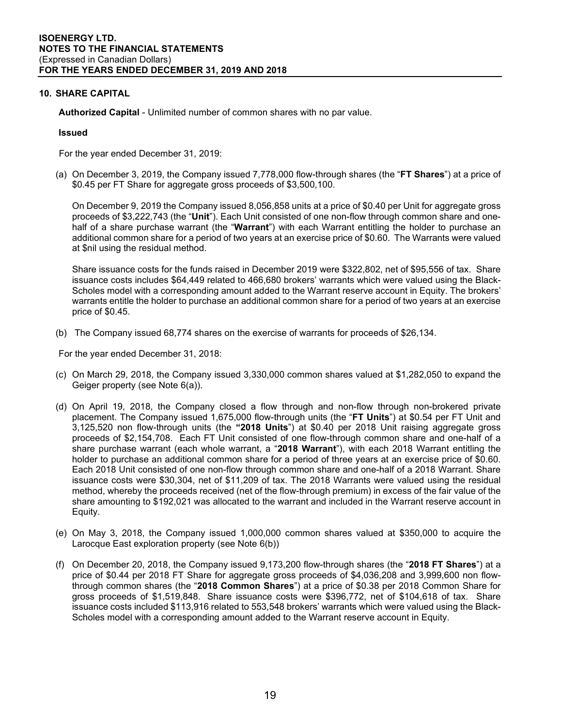#### **10. SHARE CAPITAL**

**Authorized Capital** - Unlimited number of common shares with no par value.

#### **Issued**

For the year ended December 31, 2019:

(a) On December 3, 2019, the Company issued 7,778,000 flow-through shares (the "**FT Shares**") at a price of \$0.45 per FT Share for aggregate gross proceeds of \$3,500,100.

On December 9, 2019 the Company issued 8,056,858 units at a price of \$0.40 per Unit for aggregate gross proceeds of \$3,222,743 (the "**Unit**"). Each Unit consisted of one non-flow through common share and onehalf of a share purchase warrant (the "**Warrant**") with each Warrant entitling the holder to purchase an additional common share for a period of two years at an exercise price of \$0.60. The Warrants were valued at \$nil using the residual method.

Share issuance costs for the funds raised in December 2019 were \$322,802, net of \$95,556 of tax. Share issuance costs includes \$64,449 related to 466,680 brokers' warrants which were valued using the Black-Scholes model with a corresponding amount added to the Warrant reserve account in Equity. The brokers' warrants entitle the holder to purchase an additional common share for a period of two years at an exercise price of \$0.45.

(b) The Company issued 68,774 shares on the exercise of warrants for proceeds of \$26,134.

For the year ended December 31, 2018:

- (c) On March 29, 2018, the Company issued 3,330,000 common shares valued at \$1,282,050 to expand the Geiger property (see Note 6(a)).
- (d) On April 19, 2018, the Company closed a flow through and non-flow through non-brokered private placement. The Company issued 1,675,000 flow-through units (the "**FT Units**") at \$0.54 per FT Unit and 3,125,520 non flow-through units (the **"2018 Units**") at \$0.40 per 2018 Unit raising aggregate gross proceeds of \$2,154,708. Each FT Unit consisted of one flow-through common share and one-half of a share purchase warrant (each whole warrant, a "**2018 Warrant**"), with each 2018 Warrant entitling the holder to purchase an additional common share for a period of three years at an exercise price of \$0.60. Each 2018 Unit consisted of one non-flow through common share and one-half of a 2018 Warrant. Share issuance costs were \$30,304, net of \$11,209 of tax. The 2018 Warrants were valued using the residual method, whereby the proceeds received (net of the flow-through premium) in excess of the fair value of the share amounting to \$192,021 was allocated to the warrant and included in the Warrant reserve account in Equity.
- (e) On May 3, 2018, the Company issued 1,000,000 common shares valued at \$350,000 to acquire the Larocque East exploration property (see Note 6(b))
- (f) On December 20, 2018, the Company issued 9,173,200 flow-through shares (the "**2018 FT Shares**") at a price of \$0.44 per 2018 FT Share for aggregate gross proceeds of \$4,036,208 and 3,999,600 non flowthrough common shares (the "**2018 Common Shares**") at a price of \$0.38 per 2018 Common Share for gross proceeds of \$1,519,848. Share issuance costs were \$396,772, net of \$104,618 of tax. Share issuance costs included \$113,916 related to 553,548 brokers' warrants which were valued using the Black-Scholes model with a corresponding amount added to the Warrant reserve account in Equity.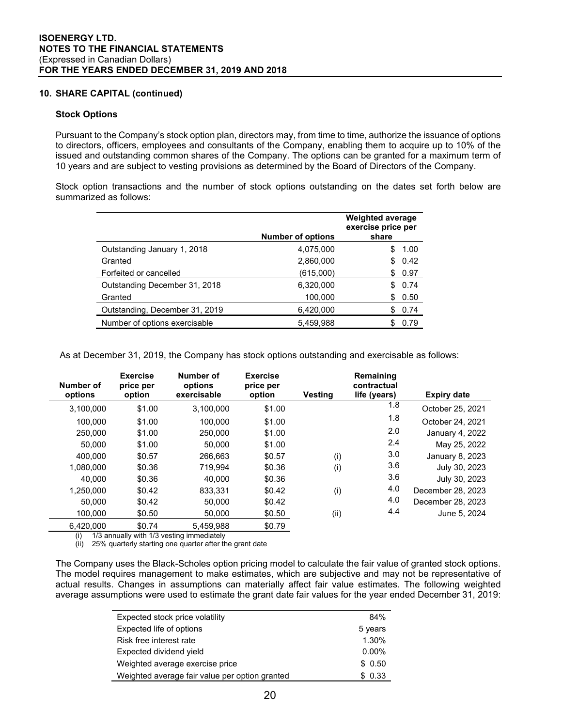#### **10. SHARE CAPITAL (continued)**

#### **Stock Options**

Pursuant to the Company's stock option plan, directors may, from time to time, authorize the issuance of options to directors, officers, employees and consultants of the Company, enabling them to acquire up to 10% of the issued and outstanding common shares of the Company. The options can be granted for a maximum term of 10 years and are subject to vesting provisions as determined by the Board of Directors of the Company.

Stock option transactions and the number of stock options outstanding on the dates set forth below are summarized as follows:

|                                | <b>Number of options</b> | <b>Weighted average</b><br>exercise price per<br>share |
|--------------------------------|--------------------------|--------------------------------------------------------|
| Outstanding January 1, 2018    | 4,075,000                | 1.00                                                   |
| Granted                        | 2,860,000                | 0.42<br>S                                              |
| Forfeited or cancelled         | (615,000)                | 0.97<br>S                                              |
| Outstanding December 31, 2018  | 6,320,000                | 0.74                                                   |
| Granted                        | 100,000                  | 0.50                                                   |
| Outstanding, December 31, 2019 | 6,420,000                | 0.74                                                   |
| Number of options exercisable  | 5.459.988                | 0.79                                                   |

As at December 31, 2019, the Company has stock options outstanding and exercisable as follows:

| Number of<br>options | <b>Exercise</b><br>price per<br>option | Number of<br>options<br>exercisable | <b>Exercise</b><br>price per<br>option | <b>Vesting</b> | Remaining<br>contractual<br>life (years) | Expiry date       |
|----------------------|----------------------------------------|-------------------------------------|----------------------------------------|----------------|------------------------------------------|-------------------|
| 3,100,000            | \$1.00                                 | 3.100.000                           | \$1.00                                 |                | 1.8                                      | October 25, 2021  |
| 100.000              | \$1.00                                 | 100.000                             | \$1.00                                 |                | 1.8                                      | October 24, 2021  |
| 250,000              | \$1.00                                 | 250.000                             | \$1.00                                 |                | 2.0                                      | January 4, 2022   |
| 50.000               | \$1.00                                 | 50.000                              | \$1.00                                 |                | 2.4                                      | May 25, 2022      |
| 400.000              | \$0.57                                 | 266.663                             | \$0.57                                 | (i)            | 3.0                                      | January 8, 2023   |
| 1,080,000            | \$0.36                                 | 719.994                             | \$0.36                                 | (i)            | 3.6                                      | July 30, 2023     |
| 40.000               | \$0.36                                 | 40.000                              | \$0.36                                 |                | 3.6                                      | July 30, 2023     |
| 1.250.000            | \$0.42                                 | 833.331                             | \$0.42                                 | (i)            | 4.0                                      | December 28, 2023 |
| 50.000               | \$0.42                                 | 50.000                              | \$0.42                                 |                | 4.0                                      | December 28, 2023 |
| 100.000              | \$0.50                                 | 50.000                              | \$0.50                                 | (ii)           | 4.4                                      | June 5, 2024      |
| 6,420,000            | \$0.74                                 | 5.459.988                           | \$0.79                                 |                |                                          |                   |

(i) 1/3 annually with 1/3 vesting immediately

(ii) 25% quarterly starting one quarter after the grant date

The Company uses the Black-Scholes option pricing model to calculate the fair value of granted stock options. The model requires management to make estimates, which are subjective and may not be representative of actual results. Changes in assumptions can materially affect fair value estimates. The following weighted average assumptions were used to estimate the grant date fair values for the year ended December 31, 2019:

| Expected stock price volatility                | 84%      |
|------------------------------------------------|----------|
| Expected life of options                       | 5 years  |
| Risk free interest rate                        | 1.30%    |
| Expected dividend yield                        | $0.00\%$ |
| Weighted average exercise price                | \$0.50   |
| Weighted average fair value per option granted | \$0.33   |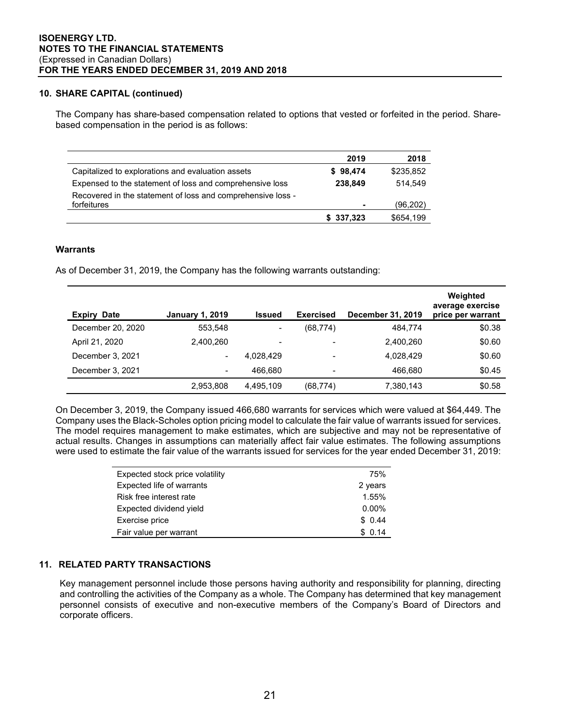#### **10. SHARE CAPITAL (continued)**

The Company has share-based compensation related to options that vested or forfeited in the period. Sharebased compensation in the period is as follows:

|                                                             | 2019                     | 2018      |
|-------------------------------------------------------------|--------------------------|-----------|
| Capitalized to explorations and evaluation assets           | \$98,474                 | \$235,852 |
| Expensed to the statement of loss and comprehensive loss    | 238,849                  | 514.549   |
| Recovered in the statement of loss and comprehensive loss - |                          |           |
| forfeitures                                                 | $\overline{\phantom{0}}$ | (96, 202) |
|                                                             | \$337,323                | \$654,199 |

#### **Warrants**

As of December 31, 2019, the Company has the following warrants outstanding:

| Date<br>Expiry    | <b>January 1, 2019</b>                                                                                                                            | Issued                   | <b>Exercised</b> | December 31, 2019 | Weighted<br>average exercise<br>price per warrant |
|-------------------|---------------------------------------------------------------------------------------------------------------------------------------------------|--------------------------|------------------|-------------------|---------------------------------------------------|
| December 20, 2020 | 553.548                                                                                                                                           | $\overline{\phantom{a}}$ | (68, 774)        | 484.774           | \$0.38                                            |
| April 21, 2020    | 2,400,260                                                                                                                                         | $\overline{\phantom{a}}$ |                  | 2.400.260         | \$0.60                                            |
| December 3, 2021  | $\blacksquare$                                                                                                                                    | 4,028,429                |                  | 4,028,429         | \$0.60                                            |
| December 3, 2021  | $\hskip1.6pt\hskip1.6pt\hskip1.6pt\hskip1.6pt\hskip1.6pt\hskip1.6pt\hskip1.6pt\hskip1.6pt\hskip1.6pt\hskip1.6pt\hskip1.6pt\hskip1.6pt\hskip1.6pt$ | 466,680                  | -                | 466,680           | \$0.45                                            |
|                   | 2,953,808                                                                                                                                         | 4.495.109                | (68, 774)        | 7,380,143         | \$0.58                                            |

On December 3, 2019, the Company issued 466,680 warrants for services which were valued at \$64,449. The Company uses the Black-Scholes option pricing model to calculate the fair value of warrants issued for services. The model requires management to make estimates, which are subjective and may not be representative of actual results. Changes in assumptions can materially affect fair value estimates. The following assumptions were used to estimate the fair value of the warrants issued for services for the year ended December 31, 2019:

| Expected stock price volatility | 75%      |
|---------------------------------|----------|
| Expected life of warrants       | 2 years  |
| Risk free interest rate         | 1.55%    |
| Expected dividend yield         | $0.00\%$ |
| Exercise price                  | \$0.44   |
| Fair value per warrant          | \$0.14   |

#### **11. RELATED PARTY TRANSACTIONS**

Key management personnel include those persons having authority and responsibility for planning, directing and controlling the activities of the Company as a whole. The Company has determined that key management personnel consists of executive and non-executive members of the Company's Board of Directors and corporate officers.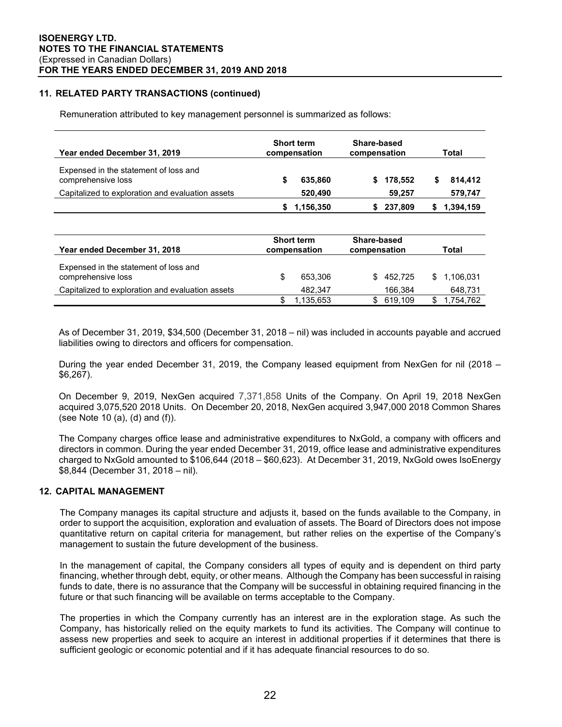#### **11. RELATED PARTY TRANSACTIONS (continued)**

Remuneration attributed to key management personnel is summarized as follows:

| Year ended December 31, 2019                                | <b>Short term</b><br>compensation |           | Share-based<br>compensation |           | Total |             |
|-------------------------------------------------------------|-----------------------------------|-----------|-----------------------------|-----------|-------|-------------|
| Expensed in the statement of loss and<br>comprehensive loss |                                   | 635.860   |                             | \$178,552 |       | 814.412     |
| Capitalized to exploration and evaluation assets            |                                   | 520,490   |                             | 59.257    |       | 579,747     |
|                                                             |                                   | 1,156,350 |                             | 237,809   |       | \$1,394,159 |

| Year ended December 31, 2018                                | <b>Short term</b><br>compensation |           | Share-based<br>compensation |           |    | Total     |
|-------------------------------------------------------------|-----------------------------------|-----------|-----------------------------|-----------|----|-----------|
| Expensed in the statement of loss and<br>comprehensive loss |                                   | 653.306   |                             | \$452.725 | S. | 1.106.031 |
| Capitalized to exploration and evaluation assets            |                                   | 482.347   |                             | 166,384   |    | 648,731   |
|                                                             |                                   | 1.135.653 | S.                          | 619.109   |    | 1.754.762 |

As of December 31, 2019, \$34,500 (December 31, 2018 – nil) was included in accounts payable and accrued liabilities owing to directors and officers for compensation.

During the year ended December 31, 2019, the Company leased equipment from NexGen for nil (2018 – \$6,267).

On December 9, 2019, NexGen acquired 7,371,858 Units of the Company. On April 19, 2018 NexGen acquired 3,075,520 2018 Units. On December 20, 2018, NexGen acquired 3,947,000 2018 Common Shares (see Note 10 (a), (d) and (f)).

The Company charges office lease and administrative expenditures to NxGold, a company with officers and directors in common. During the year ended December 31, 2019, office lease and administrative expenditures charged to NxGold amounted to \$106,644 (2018 – \$60,623). At December 31, 2019, NxGold owes IsoEnergy \$8,844 (December 31, 2018 – nil).

#### **12. CAPITAL MANAGEMENT**

The Company manages its capital structure and adjusts it, based on the funds available to the Company, in order to support the acquisition, exploration and evaluation of assets. The Board of Directors does not impose quantitative return on capital criteria for management, but rather relies on the expertise of the Company's management to sustain the future development of the business.

In the management of capital, the Company considers all types of equity and is dependent on third party financing, whether through debt, equity, or other means. Although the Company has been successful in raising funds to date, there is no assurance that the Company will be successful in obtaining required financing in the future or that such financing will be available on terms acceptable to the Company.

The properties in which the Company currently has an interest are in the exploration stage. As such the Company, has historically relied on the equity markets to fund its activities. The Company will continue to assess new properties and seek to acquire an interest in additional properties if it determines that there is sufficient geologic or economic potential and if it has adequate financial resources to do so.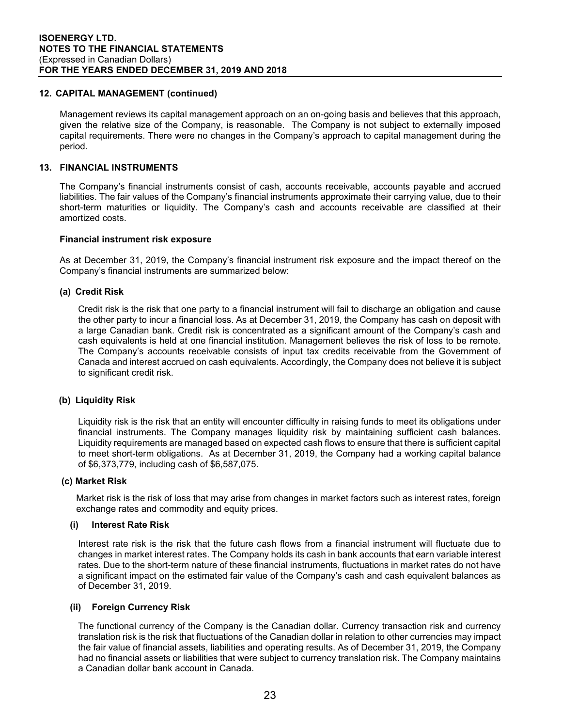#### **12. CAPITAL MANAGEMENT (continued)**

Management reviews its capital management approach on an on-going basis and believes that this approach, given the relative size of the Company, is reasonable. The Company is not subject to externally imposed capital requirements. There were no changes in the Company's approach to capital management during the period.

#### **13. FINANCIAL INSTRUMENTS**

The Company's financial instruments consist of cash, accounts receivable, accounts payable and accrued liabilities. The fair values of the Company's financial instruments approximate their carrying value, due to their short-term maturities or liquidity. The Company's cash and accounts receivable are classified at their amortized costs.

#### **Financial instrument risk exposure**

As at December 31, 2019, the Company's financial instrument risk exposure and the impact thereof on the Company's financial instruments are summarized below:

#### **(a) Credit Risk**

Credit risk is the risk that one party to a financial instrument will fail to discharge an obligation and cause the other party to incur a financial loss. As at December 31, 2019, the Company has cash on deposit with a large Canadian bank. Credit risk is concentrated as a significant amount of the Company's cash and cash equivalents is held at one financial institution. Management believes the risk of loss to be remote. The Company's accounts receivable consists of input tax credits receivable from the Government of Canada and interest accrued on cash equivalents. Accordingly, the Company does not believe it is subject to significant credit risk.

#### **(b) Liquidity Risk**

Liquidity risk is the risk that an entity will encounter difficulty in raising funds to meet its obligations under financial instruments. The Company manages liquidity risk by maintaining sufficient cash balances. Liquidity requirements are managed based on expected cash flows to ensure that there is sufficient capital to meet short-term obligations. As at December 31, 2019, the Company had a working capital balance of \$6,373,779, including cash of \$6,587,075.

#### **(c) Market Risk**

Market risk is the risk of loss that may arise from changes in market factors such as interest rates, foreign exchange rates and commodity and equity prices.

#### **(i) Interest Rate Risk**

Interest rate risk is the risk that the future cash flows from a financial instrument will fluctuate due to changes in market interest rates. The Company holds its cash in bank accounts that earn variable interest rates. Due to the short-term nature of these financial instruments, fluctuations in market rates do not have a significant impact on the estimated fair value of the Company's cash and cash equivalent balances as of December 31, 2019.

#### **(ii) Foreign Currency Risk**

The functional currency of the Company is the Canadian dollar. Currency transaction risk and currency translation risk is the risk that fluctuations of the Canadian dollar in relation to other currencies may impact the fair value of financial assets, liabilities and operating results. As of December 31, 2019, the Company had no financial assets or liabilities that were subject to currency translation risk. The Company maintains a Canadian dollar bank account in Canada.